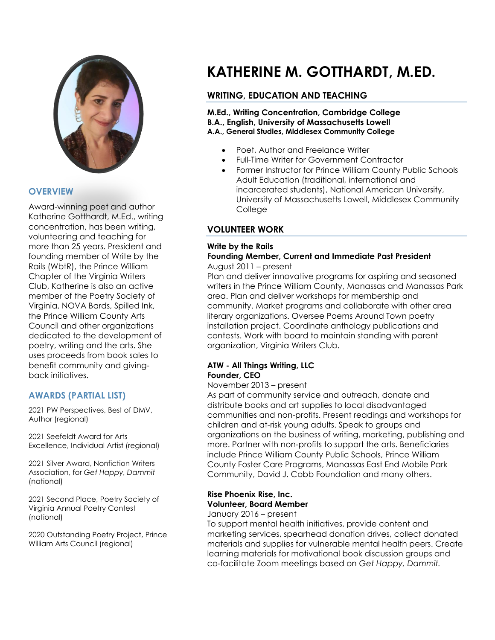

## **OVERVIEW**

Award-winning poet and author Katherine Gotthardt, M.Ed., writing concentration, has been writing, volunteering and teaching for more than 25 years. President and founding member of Write by the Rails (WbtR), the Prince William Chapter of the Virginia Writers Club, Katherine is also an active member of the Poetry Society of Virginia, NOVA Bards, Spilled Ink, the Prince William County Arts Council and other organizations dedicated to the development of poetry, writing and the arts. She uses proceeds from book sales to benefit community and givingback initiatives.

## **AWARDS (PARTIAL LIST)**

2021 PW Perspectives, Best of DMV, Author (regional)

2021 Seefeldt Award for Arts Excellence, Individual Artist (regional)

2021 Silver Award, Nonfiction Writers Association, for *Get Happy, Dammit*  (national)

2021 Second Place, Poetry Society of Virginia Annual Poetry Contest (national)

2020 Outstanding Poetry Project, Prince William Arts Council (regional)

# **KATHERINE M. GOTTHARDT, M.ED.**

# **WRITING, EDUCATION AND TEACHING**

**M.Ed., Writing Concentration, Cambridge College B.A., English, University of Massachusetts Lowell A.A., General Studies, Middlesex Community College**

- Poet, Author and Freelance Writer
- Full-Time Writer for Government Contractor
- Former Instructor for Prince William County Public Schools Adult Education (traditional, international and incarcerated students), National American University, University of Massachusetts Lowell, Middlesex Community **College**

## **VOLUNTEER WORK**

#### **Write by the Rails**

#### **Founding Member, Current and Immediate Past President** August 2011 – present

Plan and deliver innovative programs for aspiring and seasoned writers in the Prince William County, Manassas and Manassas Park area. Plan and deliver workshops for membership and community. Market programs and collaborate with other area literary organizations. Oversee Poems Around Town poetry installation project. Coordinate anthology publications and contests. Work with board to maintain standing with parent organization, Virginia Writers Club.

#### **ATW - All Things Writing, LLC Founder, CEO**

#### November 2013 – present

As part of community service and outreach, donate and distribute books and art supplies to local disadvantaged communities and non-profits. Present readings and workshops for children and at-risk young adults. Speak to groups and organizations on the business of writing, marketing, publishing and more. Partner with non-profits to support the arts. Beneficiaries include Prince William County Public Schools, Prince William County Foster Care Programs, Manassas East End Mobile Park Community, David J. Cobb Foundation and many others.

#### **Rise Phoenix Rise, Inc. Volunteer, Board Member** January 2016 – present

To support mental health initiatives, provide content and marketing services, spearhead donation drives, collect donated materials and supplies for vulnerable mental health peers. Create learning materials for motivational book discussion groups and co-facilitate Zoom meetings based on *Get Happy, Dammit.*